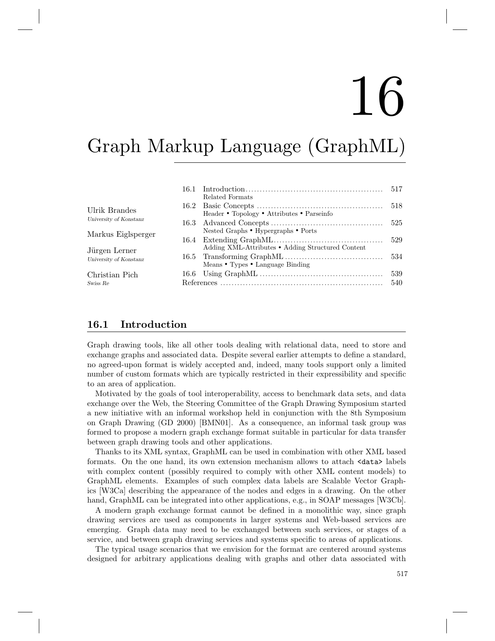# 16

## Graph Markup Language (GraphML)

|                                     | Related Formats                                   |            |
|-------------------------------------|---------------------------------------------------|------------|
| Ulrik Brandes                       | Header • Topology • Attributes • Parseinfo        |            |
| University of Konstanz              | Nested Graphs • Hypergraphs • Ports               |            |
| Markus Eiglsperger<br>Jürgen Lerner | Adding XML-Attributes • Adding Structured Content | 529        |
| University of Konstanz              | Means • Types • Language Binding                  | 534        |
| Christian Pich<br>Swiss Re          |                                                   | 539<br>540 |

#### 16.1 Introduction

Graph drawing tools, like all other tools dealing with relational data, need to store and exchange graphs and associated data. Despite several earlier attempts to define a standard, no agreed-upon format is widely accepted and, indeed, many tools support only a limited number of custom formats which are typically restricted in their expressibility and specific to an area of application.

Motivated by the goals of tool interoperability, access to benchmark data sets, and data exchange over the Web, the Steering Committee of the Graph Drawing Symposium started a new initiative with an informal workshop held in conjunction with the 8th Symposium on Graph Drawing (GD 2000) [BMN01]. As a consequence, an informal task group was formed to propose a modern graph exchange format suitable in particular for data transfer between graph drawing tools and other applications.

Thanks to its XML syntax, GraphML can be used in combination with other XML based formats. On the one hand, its own extension mechanism allows to attach <data> labels with complex content (possibly required to comply with other XML content models) to GraphML elements. Examples of such complex data labels are Scalable Vector Graphics [W3Ca] describing the appearance of the nodes and edges in a drawing. On the other hand, GraphML can be integrated into other applications, e.g., in SOAP messages  $[W3Cb]$ .

A modern graph exchange format cannot be defined in a monolithic way, since graph drawing services are used as components in larger systems and Web-based services are emerging. Graph data may need to be exchanged between such services, or stages of a service, and between graph drawing services and systems specific to areas of applications.

The typical usage scenarios that we envision for the format are centered around systems designed for arbitrary applications dealing with graphs and other data associated with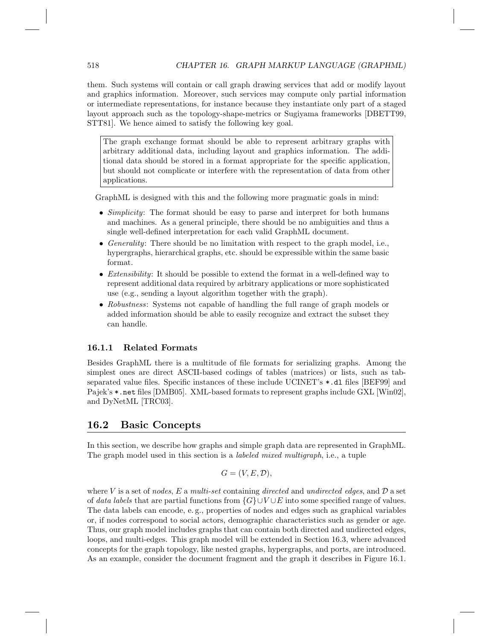them. Such systems will contain or call graph drawing services that add or modify layout and graphics information. Moreover, such services may compute only partial information or intermediate representations, for instance because they instantiate only part of a staged layout approach such as the topology-shape-metrics or Sugiyama frameworks [DBETT99, STT81]. We hence aimed to satisfy the following key goal.

The graph exchange format should be able to represent arbitrary graphs with arbitrary additional data, including layout and graphics information. The additional data should be stored in a format appropriate for the specific application, but should not complicate or interfere with the representation of data from other applications.

GraphML is designed with this and the following more pragmatic goals in mind:

- Simplicity: The format should be easy to parse and interpret for both humans and machines. As a general principle, there should be no ambiguities and thus a single well-defined interpretation for each valid GraphML document.
- Generality: There should be no limitation with respect to the graph model, i.e., hypergraphs, hierarchical graphs, etc. should be expressible within the same basic format.
- Extensibility: It should be possible to extend the format in a well-defined way to represent additional data required by arbitrary applications or more sophisticated use (e.g., sending a layout algorithm together with the graph).
- Robustness: Systems not capable of handling the full range of graph models or added information should be able to easily recognize and extract the subset they can handle.

#### 16.1.1 Related Formats

Besides GraphML there is a multitude of file formats for serializing graphs. Among the simplest ones are direct ASCII-based codings of tables (matrices) or lists, such as tabseparated value files. Specific instances of these include UCINET's \*.dl files [BEF99] and Pajek's \*.net files [DMB05]. XML-based formats to represent graphs include GXL [Win02], and DyNetML [TRC03].

#### 16.2 Basic Concepts

In this section, we describe how graphs and simple graph data are represented in GraphML. The graph model used in this section is a *labeled mixed multigraph*, i.e., a tuple

$$
G=(V,E,\mathcal{D}),
$$

where V is a set of nodes, E a multi-set containing directed and undirected edges, and  $\mathcal{D}$  a set of data labels that are partial functions from  $\{G\} \cup V \cup E$  into some specified range of values. The data labels can encode, e. g., properties of nodes and edges such as graphical variables or, if nodes correspond to social actors, demographic characteristics such as gender or age. Thus, our graph model includes graphs that can contain both directed and undirected edges, loops, and multi-edges. This graph model will be extended in Section 16.3, where advanced concepts for the graph topology, like nested graphs, hypergraphs, and ports, are introduced. As an example, consider the document fragment and the graph it describes in Figure 16.1.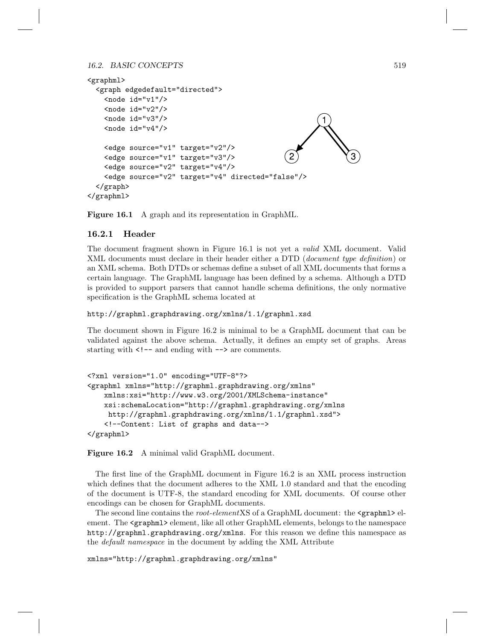```
<graphml>
  <graph edgedefault="directed">
    <sub>node</sub> id="v1"/></sub>
    \text{1} <node id="v2"/>
    <node id="v3"/>
    <node id="v4"/>
    <edge source="v1" target="v2"/>
                                                      2
    <edge source="v1" target="v3"/>
    <edge source="v2" target="v4"/>
    <edge source="v2" target="v4" directed="false"/>
  </graph>
</graphml>
```
Figure 16.1 A graph and its representation in GraphML.

#### 16.2.1 Header

The document fragment shown in Figure 16.1 is not yet a valid XML document. Valid XML documents must declare in their header either a DTD (*document type definition*) or an XML schema. Both DTDs or schemas define a subset of all XML documents that forms a certain language. The GraphML language has been defined by a schema. Although a DTD is provided to support parsers that cannot handle schema definitions, the only normative specification is the GraphML schema located at

#### http://graphml.graphdrawing.org/xmlns/1.1/graphml.xsd

The document shown in Figure 16.2 is minimal to be a GraphML document that can be validated against the above schema. Actually, it defines an empty set of graphs. Areas starting with  $\leq$  -- and ending with  $\leq$  are comments.

```
<?xml version="1.0" encoding="UTF-8"?>
<graphml xmlns="http://graphml.graphdrawing.org/xmlns"
   xmlns:xsi="http://www.w3.org/2001/XMLSchema-instance"
   xsi:schemaLocation="http://graphml.graphdrawing.org/xmlns
    http://graphml.graphdrawing.org/xmlns/1.1/graphml.xsd">
   <!--Content: List of graphs and data-->
</graphml>
```
Figure 16.2 A minimal valid GraphML document.

The first line of the GraphML document in Figure 16.2 is an XML process instruction which defines that the document adheres to the XML 1.0 standard and that the encoding of the document is UTF-8, the standard encoding for XML documents. Of course other encodings can be chosen for GraphML documents.

The second line contains the root-elementXS of a GraphML document: the  $\epsilon$ graphml> element. The  $\epsilon$ graphml> element, like all other GraphML elements, belongs to the namespace http://graphml.graphdrawing.org/xmlns. For this reason we define this namespace as the default namespace in the document by adding the XML Attribute

xmlns="http://graphml.graphdrawing.org/xmlns"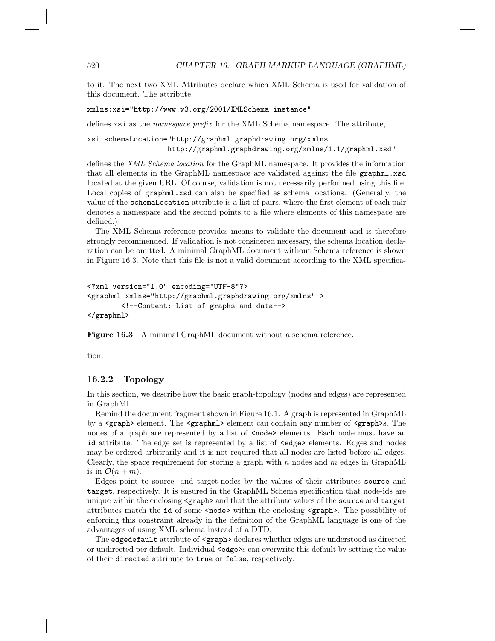to it. The next two XML Attributes declare which XML Schema is used for validation of this document. The attribute

xmlns:xsi="http://www.w3.org/2001/XMLSchema-instance"

defines xsi as the namespace prefix for the XML Schema namespace. The attribute,

```
xsi:schemaLocation="http://graphml.graphdrawing.org/xmlns
                   http://graphml.graphdrawing.org/xmlns/1.1/graphml.xsd"
```
defines the XML Schema location for the GraphML namespace. It provides the information that all elements in the GraphML namespace are validated against the file graphml.xsd located at the given URL. Of course, validation is not necessarily performed using this file. Local copies of graphml.xsd can also be specified as schema locations. (Generally, the value of the schemaLocation attribute is a list of pairs, where the first element of each pair denotes a namespace and the second points to a file where elements of this namespace are defined.)

The XML Schema reference provides means to validate the document and is therefore strongly recommended. If validation is not considered necessary, the schema location declaration can be omitted. A minimal GraphML document without Schema reference is shown in Figure 16.3. Note that this file is not a valid document according to the XML specifica-

```
<?xml version="1.0" encoding="UTF-8"?>
<graphml xmlns="http://graphml.graphdrawing.org/xmlns" >
        <!--Content: List of graphs and data-->
</graphml>
```
Figure 16.3 A minimal GraphML document without a schema reference.

tion.

#### 16.2.2 Topology

In this section, we describe how the basic graph-topology (nodes and edges) are represented in GraphML.

Remind the document fragment shown in Figure 16.1. A graph is represented in GraphML by a <graph> element. The <graphml> element can contain any number of <graph>s. The nodes of a graph are represented by a list of  $\leq$ node $\geq$  elements. Each node must have an id attribute. The edge set is represented by a list of <edge> elements. Edges and nodes may be ordered arbitrarily and it is not required that all nodes are listed before all edges. Clearly, the space requirement for storing a graph with  $n$  nodes and  $m$  edges in GraphML is in  $\mathcal{O}(n+m)$ .

Edges point to source- and target-nodes by the values of their attributes source and target, respectively. It is ensured in the GraphML Schema specification that node-ids are unique within the enclosing  $\langle \text{graph} \rangle$  and that the attribute values of the source and target attributes match the id of some <node> within the enclosing <graph>. The possibility of enforcing this constraint already in the definition of the GraphML language is one of the advantages of using XML schema instead of a DTD.

The edgedefault attribute of  $\langle$ graph> declares whether edges are understood as directed or undirected per default. Individual <edge>s can overwrite this default by setting the value of their directed attribute to true or false, respectively.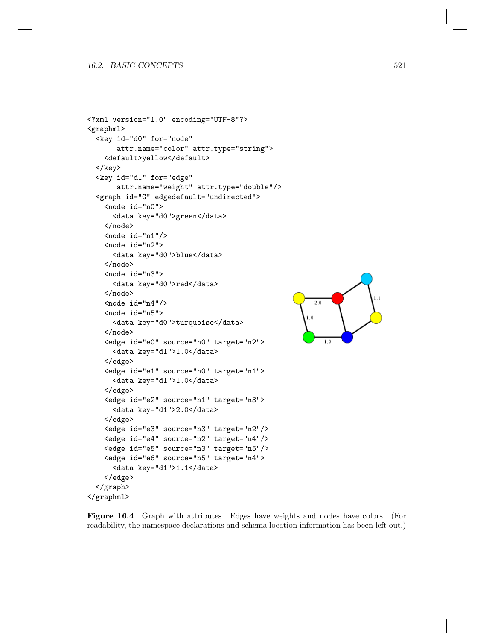#### 16.2. BASIC CONCEPTS 521

```
<?xml version="1.0" encoding="UTF-8"?>
<graphml>
  <key id="d0" for="node"
       attr.name="color" attr.type="string">
    <default>yellow</default>
  </key>
  <key id="d1" for="edge"
       attr.name="weight" attr.type="double"/>
  <graph id="G" edgedefault="undirected">
    <node id="n0">
      <data key="d0">green</data>
    </node>
    <sub>node</sub> id="n1"/></sub>
    <node id="n2">
      <data key="d0">blue</data>
    </node>
    <node id="n3">
      <data key="d0">red</data>
    </node>
    <node id="n4"/>
    <node id="n5">
      <data key="d0">turquoise</data>
    </node>
    <edge id="e0" source="n0" target="n2">
      <data key="d1">1.0</data>
    </edge>
    <edge id="e1" source="n0" target="n1">
      <data key="d1">1.0</data>
    </edge>
    <edge id="e2" source="n1" target="n3">
      <data key="d1">2.0</data>
    </edge>
    <edge id="e3" source="n3" target="n2"/>
    <edge id="e4" source="n2" target="n4"/>
    <edge id="e5" source="n3" target="n5"/>
    <edge id="e6" source="n5" target="n4">
      <data key="d1">1.1</data>
    </edge>
  </graph>
</graphml>
```


Figure 16.4 Graph with attributes. Edges have weights and nodes have colors. (For readability, the namespace declarations and schema location information has been left out.)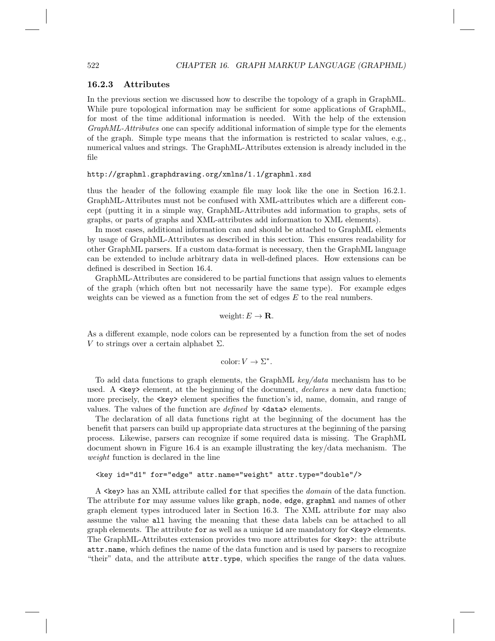#### 16.2.3 Attributes

In the previous section we discussed how to describe the topology of a graph in GraphML. While pure topological information may be sufficient for some applications of GraphML, for most of the time additional information is needed. With the help of the extension GraphML-Attributes one can specify additional information of simple type for the elements of the graph. Simple type means that the information is restricted to scalar values, e.g., numerical values and strings. The GraphML-Attributes extension is already included in the file

#### http://graphml.graphdrawing.org/xmlns/1.1/graphml.xsd

thus the header of the following example file may look like the one in Section 16.2.1. GraphML-Attributes must not be confused with XML-attributes which are a different concept (putting it in a simple way, GraphML-Attributes add information to graphs, sets of graphs, or parts of graphs and XML-attributes add information to XML elements).

In most cases, additional information can and should be attached to GraphML elements by usage of GraphML-Attributes as described in this section. This ensures readability for other GraphML parsers. If a custom data-format is necessary, then the GraphML language can be extended to include arbitrary data in well-defined places. How extensions can be defined is described in Section 16.4.

GraphML-Attributes are considered to be partial functions that assign values to elements of the graph (which often but not necessarily have the same type). For example edges weights can be viewed as a function from the set of edges  $E$  to the real numbers.

$$
weight: E \to \mathbf{R}.
$$

As a different example, node colors can be represented by a function from the set of nodes V to strings over a certain alphabet  $\Sigma$ .

$$
\mathrm{color} \colon\! V \to \Sigma^*.
$$

To add data functions to graph elements, the GraphML key/data mechanism has to be used. A  $\langle \text{key} \rangle$  element, at the beginning of the document, *declares* a new data function; more precisely, the  $\langle \text{key} \rangle$  element specifies the function's id, name, domain, and range of values. The values of the function are *defined* by <data> elements.

The declaration of all data functions right at the beginning of the document has the benefit that parsers can build up appropriate data structures at the beginning of the parsing process. Likewise, parsers can recognize if some required data is missing. The GraphML document shown in Figure 16.4 is an example illustrating the key/data mechanism. The weight function is declared in the line

#### <key id="d1" for="edge" attr.name="weight" attr.type="double"/>

A <key> has an XML attribute called for that specifies the *domain* of the data function. The attribute for may assume values like graph, node, edge, graphml and names of other graph element types introduced later in Section 16.3. The XML attribute for may also assume the value all having the meaning that these data labels can be attached to all graph elements. The attribute for as well as a unique  $id$  are mandatory for  $\langle key \rangle$  elements. The GraphML-Attributes extension provides two more attributes for  $\langle \text{key} \rangle$ : the attribute attr.name, which defines the name of the data function and is used by parsers to recognize "their" data, and the attribute attr.type, which specifies the range of the data values.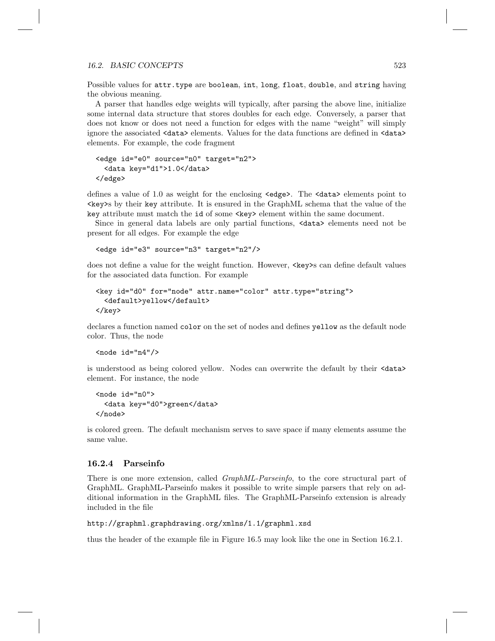#### 16.2. BASIC CONCEPTS 523

Possible values for attr.type are boolean, int, long, float, double, and string having the obvious meaning.

A parser that handles edge weights will typically, after parsing the above line, initialize some internal data structure that stores doubles for each edge. Conversely, a parser that does not know or does not need a function for edges with the name "weight" will simply ignore the associated <data> elements. Values for the data functions are defined in <data> elements. For example, the code fragment

```
<edge id="e0" source="n0" target="n2">
  <data key="d1">1.0</data>
</edge>
```
defines a value of 1.0 as weight for the enclosing  $\leq$  edge>. The  $\leq$  data> elements point to  $\langle$ key>s by their key attribute. It is ensured in the GraphML schema that the value of the key attribute must match the id of some <key> element within the same document.

Since in general data labels are only partial functions, <data> elements need not be present for all edges. For example the edge

<edge id="e3" source="n3" target="n2"/>

does not define a value for the weight function. However,  $\langle \text{key}\rangle$ s can define default values for the associated data function. For example

```
<key id="d0" for="node" attr.name="color" attr.type="string">
 <default>yellow</default>
</key>
```
declares a function named color on the set of nodes and defines yellow as the default node color. Thus, the node

```
<sub>node</sub> id="n4"/></sub>
```
is understood as being colored yellow. Nodes can overwrite the default by their <data> element. For instance, the node

```
<node id="n0">
 <data key="d0">green</data>
</node>
```
is colored green. The default mechanism serves to save space if many elements assume the same value.

#### 16.2.4 Parseinfo

There is one more extension, called *GraphML-Parseinfo*, to the core structural part of GraphML. GraphML-Parseinfo makes it possible to write simple parsers that rely on additional information in the GraphML files. The GraphML-Parseinfo extension is already included in the file

http://graphml.graphdrawing.org/xmlns/1.1/graphml.xsd

thus the header of the example file in Figure 16.5 may look like the one in Section 16.2.1.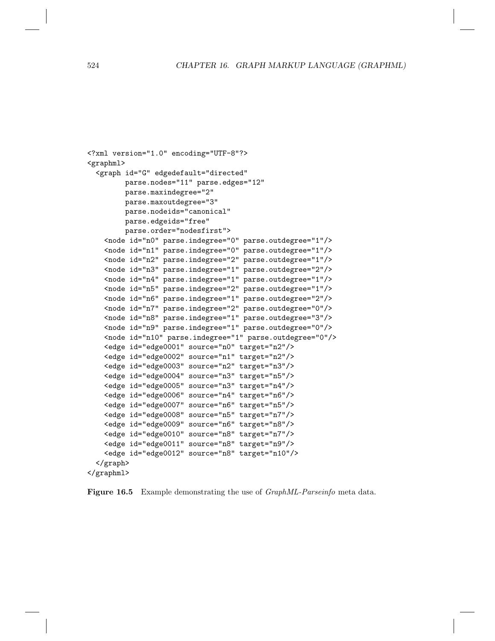```
<?xml version="1.0" encoding="UTF-8"?>
<graphml>
  <graph id="G" edgedefault="directed"
        parse.nodes="11" parse.edges="12"
        parse.maxindegree="2"
        parse.maxoutdegree="3"
        parse.nodeids="canonical"
        parse.edgeids="free"
        parse.order="nodesfirst">
   <node id="n0" parse.indegree="0" parse.outdegree="1"/>
   <node id="n1" parse.indegree="0" parse.outdegree="1"/>
   <node id="n2" parse.indegree="2" parse.outdegree="1"/>
   <node id="n3" parse.indegree="1" parse.outdegree="2"/>
   <node id="n4" parse.indegree="1" parse.outdegree="1"/>
   <node id="n5" parse.indegree="2" parse.outdegree="1"/>
   <node id="n6" parse.indegree="1" parse.outdegree="2"/>
   <node id="n7" parse.indegree="2" parse.outdegree="0"/>
   <node id="n8" parse.indegree="1" parse.outdegree="3"/>
   <node id="n9" parse.indegree="1" parse.outdegree="0"/>
   <node id="n10" parse.indegree="1" parse.outdegree="0"/>
   <edge id="edge0001" source="n0" target="n2"/>
   <edge id="edge0002" source="n1" target="n2"/>
   <edge id="edge0003" source="n2" target="n3"/>
   <edge id="edge0004" source="n3" target="n5"/>
   <edge id="edge0005" source="n3" target="n4"/>
   <edge id="edge0006" source="n4" target="n6"/>
   <edge id="edge0007" source="n6" target="n5"/>
   <edge id="edge0008" source="n5" target="n7"/>
   <edge id="edge0009" source="n6" target="n8"/>
   <edge id="edge0010" source="n8" target="n7"/>
   <edge id="edge0011" source="n8" target="n9"/>
   <edge id="edge0012" source="n8" target="n10"/>
  </graph>
</graphml>
```
Figure 16.5 Example demonstrating the use of *GraphML-Parseinfo* meta data.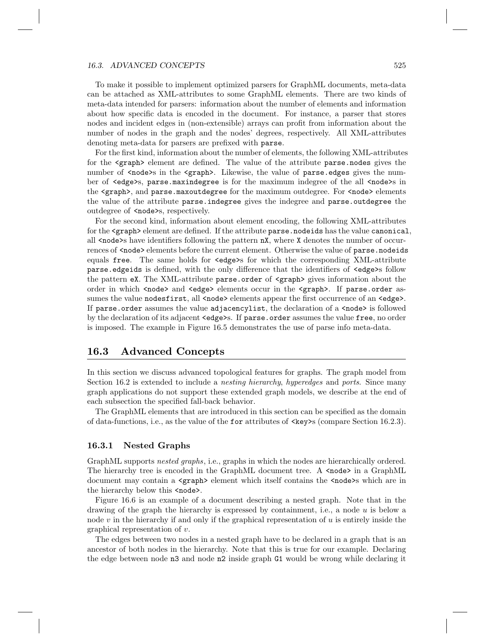#### 16.3. ADVANCED CONCEPTS 525

To make it possible to implement optimized parsers for GraphML documents, meta-data can be attached as XML-attributes to some GraphML elements. There are two kinds of meta-data intended for parsers: information about the number of elements and information about how specific data is encoded in the document. For instance, a parser that stores nodes and incident edges in (non-extensible) arrays can profit from information about the number of nodes in the graph and the nodes' degrees, respectively. All XML-attributes denoting meta-data for parsers are prefixed with parse.

For the first kind, information about the number of elements, the following XML-attributes for the <graph> element are defined. The value of the attribute parse.nodes gives the number of  $\langle$ node>s in the  $\langle$ graph>. Likewise, the value of parse.edges gives the number of <edge>s, parse.maxindegree is for the maximum indegree of the all <node>s in the <graph>, and parse.maxoutdegree for the maximum outdegree. For <node> elements the value of the attribute parse.indegree gives the indegree and parse.outdegree the outdegree of **<node>s**, respectively.

For the second kind, information about element encoding, the following XML-attributes for the <graph> element are defined. If the attribute parse.nodeids has the value canonical. all  $\langle$ node>s have identifiers following the pattern nX, where X denotes the number of occurrences of <node> elements before the current element. Otherwise the value of parse.nodeids equals free. The same holds for  $\leq$ edge>s for which the corresponding XML-attribute parse.edgeids is defined, with the only difference that the identifiers of  $\leq$ edge>s follow the pattern eX. The XML-attribute parse.order of <graph> gives information about the order in which <node> and <edge> elements occur in the <graph>. If parse.order assumes the value nodesfirst, all <node> elements appear the first occurrence of an <edge>. If parse order assumes the value adjacencylist, the declaration of a  $\langle$ node> is followed by the declaration of its adjacent  $\leq$  edge $\geq$ s. If parse.order assumes the value free, no order is imposed. The example in Figure 16.5 demonstrates the use of parse info meta-data.

#### 16.3 Advanced Concepts

In this section we discuss advanced topological features for graphs. The graph model from Section 16.2 is extended to include a *nesting hierarchy*, *hyperedges* and *ports*. Since many graph applications do not support these extended graph models, we describe at the end of each subsection the specified fall-back behavior.

The GraphML elements that are introduced in this section can be specified as the domain of data-functions, i.e., as the value of the for attributes of  $\langle \text{key}\rangle$ s (compare Section 16.2.3).

#### 16.3.1 Nested Graphs

GraphML supports *nested graphs*, i.e., graphs in which the nodes are hierarchically ordered. The hierarchy tree is encoded in the GraphML document tree. A  $\alpha$   $\alpha$   $\alpha$  in a GraphML document may contain a <graph> element which itself contains the <node>s which are in the hierarchy below this <node>.

Figure 16.6 is an example of a document describing a nested graph. Note that in the drawing of the graph the hierarchy is expressed by containment, i.e., a node  $u$  is below a node  $v$  in the hierarchy if and only if the graphical representation of  $u$  is entirely inside the graphical representation of v.

The edges between two nodes in a nested graph have to be declared in a graph that is an ancestor of both nodes in the hierarchy. Note that this is true for our example. Declaring the edge between node n3 and node n2 inside graph G1 would be wrong while declaring it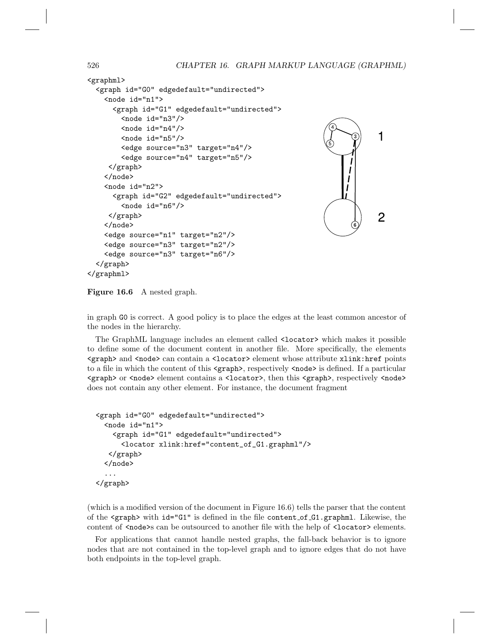1

 $\overline{2}$ 

```
<graphml>
  <graph id="G0" edgedefault="undirected">
    <node id="n1">
      <graph id="G1" edgedefault="undirected">
        <node id="n3"/>
        <sub>node</sub> id="n4"/></sub>
        <sub>node</sub> id="n5"/></sub>
        <edge source="n3" target="n4"/>
        <edge source="n4" target="n5"/>
     </graph>
    </node>
    <node id="n2">
      <graph id="G2" edgedefault="undirected">
        <node id="n6"/>
     </graph>
    </node>
    <edge source="n1" target="n2"/>
    <edge source="n3" target="n2"/>
    <edge source="n3" target="n6"/>
  </graph>
```
Figure 16.6 A nested graph.

</graphml>

in graph G0 is correct. A good policy is to place the edges at the least common ancestor of the nodes in the hierarchy.

The GraphML language includes an element called  $\triangleleft$  locator which makes it possible to define some of the document content in another file. More specifically, the elements <graph> and <node> can contain a <locator> element whose attribute xlink:href points to a file in which the content of this  $\langle \text{graph} \rangle$ , respectively  $\langle \text{node} \rangle$  is defined. If a particular <graph> or <node> element contains a <locator>, then this <graph>, respectively <node> does not contain any other element. For instance, the document fragment

```
<graph id="G0" edgedefault="undirected">
 <node id="n1">
    <graph id="G1" edgedefault="undirected">
      <locator xlink:href="content_of_G1.graphml"/>
   </graph>
 </node>
  ...
</graph>
```
(which is a modified version of the document in Figure 16.6) tells the parser that the content of the <graph> with id="G1" is defined in the file content of G1.graphml. Likewise, the content of  $\zeta$  conde>s can be outsourced to another file with the help of  $\zeta$  locator> elements.

For applications that cannot handle nested graphs, the fall-back behavior is to ignore nodes that are not contained in the top-level graph and to ignore edges that do not have both endpoints in the top-level graph.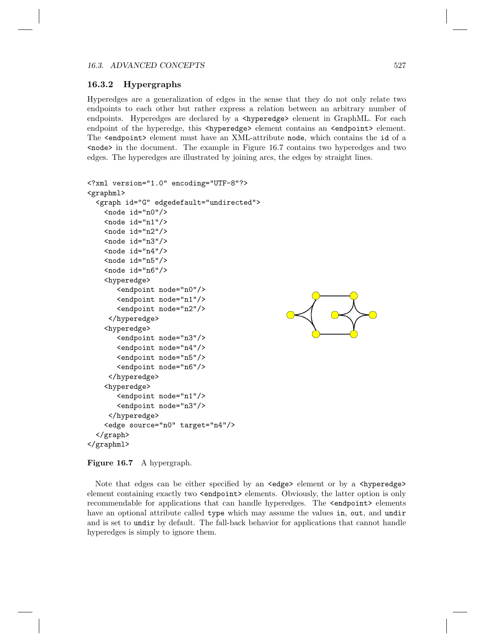#### 16.3. ADVANCED CONCEPTS 527

#### 16.3.2 Hypergraphs

Hyperedges are a generalization of edges in the sense that they do not only relate two endpoints to each other but rather express a relation between an arbitrary number of endpoints. Hyperedges are declared by a <hyperedge> element in GraphML. For each endpoint of the hyperedge, this <hyperedge> element contains an <endpoint> element. The <endpoint> element must have an XML-attribute node, which contains the id of a  $\langle \text{node} \rangle$  in the document. The example in Figure 16.7 contains two hyperedges and two edges. The hyperedges are illustrated by joining arcs, the edges by straight lines.

```
<?xml version="1.0" encoding="UTF-8"?>
<graphml>
  <graph id="G" edgedefault="undirected">
    <sub>node</sub> id="n0"/></sub>
    <sub>node</sub> id="n1"/></sub>
    <node id="n2"/>
    <node id="n3"/>
    <node id="n4"/>
    <sub>node</sub> id="n5"/></sub>
    <node id="n6"/>
    <hyperedge>
       <endpoint node="n0"/>
       <endpoint node="n1"/>
        <endpoint node="n2"/>
     </hyperedge>
    <hyperedge>
       <endpoint node="n3"/>
       <endpoint node="n4"/>
       <endpoint node="n5"/>
        <endpoint node="n6"/>
     </hyperedge>
    <hyperedge>
       <endpoint node="n1"/>
       <endpoint node="n3"/>
     </hyperedge>
    <edge source="n0" target="n4"/>
  </graph>
</graphml>
```


Figure 16.7 A hypergraph.

Note that edges can be either specified by an  $\leq$  edge> element or by a  $\leq$  hyperedge> element containing exactly two <endpoint> elements. Obviously, the latter option is only recommendable for applications that can handle hyperedges. The  $\leq$ ndpoint> elements have an optional attribute called type which may assume the values in, out, and undir and is set to undir by default. The fall-back behavior for applications that cannot handle hyperedges is simply to ignore them.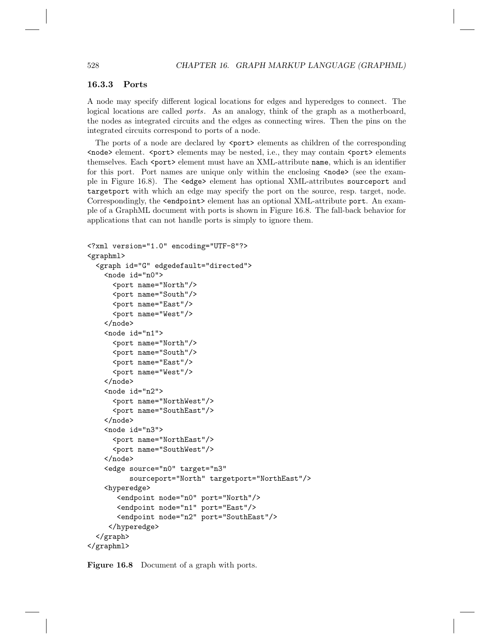#### 16.3.3 Ports

A node may specify different logical locations for edges and hyperedges to connect. The logical locations are called *ports*. As an analogy, think of the graph as a motherboard, the nodes as integrated circuits and the edges as connecting wires. Then the pins on the integrated circuits correspond to ports of a node.

The ports of a node are declared by  $\epsilon$  ports elements as children of the corresponding  $\langle \text{node} \rangle$  element.  $\langle \text{port} \rangle$  elements may be nested, i.e., they may contain  $\langle \text{port} \rangle$  elements themselves. Each <port> element must have an XML-attribute name, which is an identifier for this port. Port names are unique only within the enclosing  $\zeta$  node> (see the example in Figure 16.8). The <edge> element has optional XML-attributes sourceport and targetport with which an edge may specify the port on the source, resp. target, node. Correspondingly, the <endpoint> element has an optional XML-attribute port. An example of a GraphML document with ports is shown in Figure 16.8. The fall-back behavior for applications that can not handle ports is simply to ignore them.

```
<?xml version="1.0" encoding="UTF-8"?>
<graphml>
  <graph id="G" edgedefault="directed">
    <node id="n0">
      <port name="North"/>
      <port name="South"/>
      <port name="East"/>
      <port name="West"/>
    </node>
    <node id="n1">
      <port name="North"/>
      <port name="South"/>
      <port name="East"/>
      <port name="West"/>
    </node>
    <node id="n2">
      <port name="NorthWest"/>
      <port name="SouthEast"/>
    </node>
    <node id="n3">
      <port name="NorthEast"/>
      <port name="SouthWest"/>
    </node>
    <edge source="n0" target="n3"
          sourceport="North" targetport="NorthEast"/>
    <hyperedge>
       <endpoint node="n0" port="North"/>
       <endpoint node="n1" port="East"/>
       <endpoint node="n2" port="SouthEast"/>
     </hyperedge>
  </graph>
</graphml>
```
Figure 16.8 Document of a graph with ports.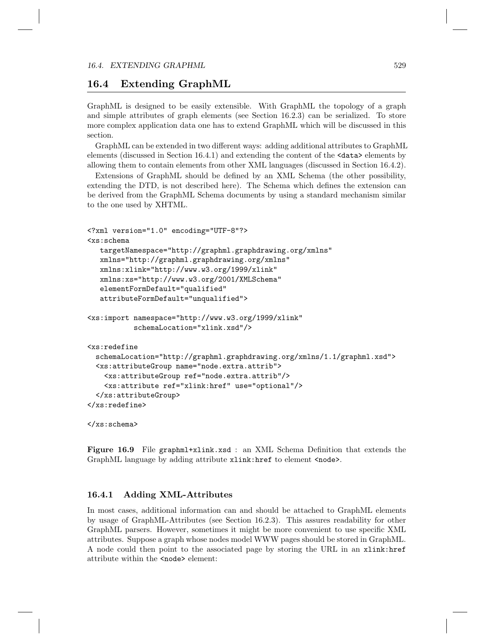#### 16.4 Extending GraphML

GraphML is designed to be easily extensible. With GraphML the topology of a graph and simple attributes of graph elements (see Section 16.2.3) can be serialized. To store more complex application data one has to extend GraphML which will be discussed in this section.

GraphML can be extended in two different ways: adding additional attributes to GraphML elements (discussed in Section 16.4.1) and extending the content of the <data> elements by allowing them to contain elements from other XML languages (discussed in Section 16.4.2).

Extensions of GraphML should be defined by an XML Schema (the other possibility, extending the DTD, is not described here). The Schema which defines the extension can be derived from the GraphML Schema documents by using a standard mechanism similar to the one used by XHTML.

```
<?xml version="1.0" encoding="UTF-8"?>
<xs:schema
  targetNamespace="http://graphml.graphdrawing.org/xmlns"
  xmlns="http://graphml.graphdrawing.org/xmlns"
  xmlns:xlink="http://www.w3.org/1999/xlink"
  xmlns:xs="http://www.w3.org/2001/XMLSchema"
  elementFormDefault="qualified"
  attributeFormDefault="unqualified">
<xs:import namespace="http://www.w3.org/1999/xlink"
           schemaLocation="xlink.xsd"/>
<xs:redefine
 schemaLocation="http://graphml.graphdrawing.org/xmlns/1.1/graphml.xsd">
  <xs:attributeGroup name="node.extra.attrib">
   <xs:attributeGroup ref="node.extra.attrib"/>
   <xs:attribute ref="xlink:href" use="optional"/>
  </xs:attributeGroup>
</xs:redefine>
</xs:schema>
```
Figure 16.9 File graphml+xlink.xsd : an XML Schema Definition that extends the GraphML language by adding attribute  $xlink$ :href to element <node>.

#### 16.4.1 Adding XML-Attributes

In most cases, additional information can and should be attached to GraphML elements by usage of GraphML-Attributes (see Section 16.2.3). This assures readability for other GraphML parsers. However, sometimes it might be more convenient to use specific XML attributes. Suppose a graph whose nodes model WWW pages should be stored in GraphML. A node could then point to the associated page by storing the URL in an xlink:href attribute within the <node> element: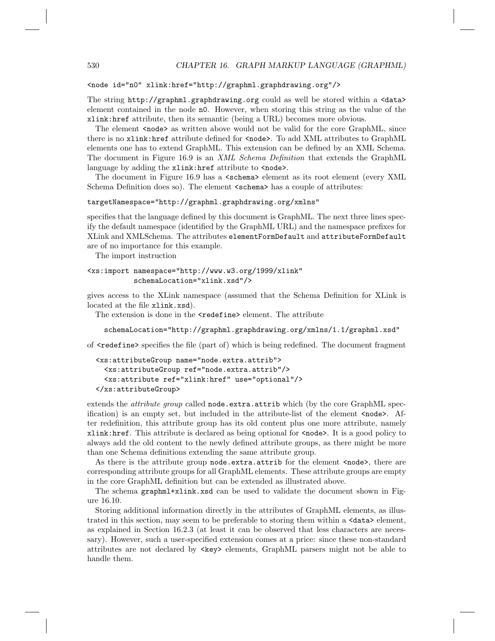<node id="n0" xlink:href="http://graphml.graphdrawing.org"/>

The string http://graphml.graphdrawing.org could as well be stored within a <data> element contained in the node n0. However, when storing this string as the value of the xlink:href attribute, then its semantic (being a URL) becomes more obvious.

The element  $\langle \text{node} \rangle$  as written above would not be valid for the core GraphML, since there is no xlink: href attribute defined for  $\langle \text{node} \rangle$ . To add XML attributes to GraphML elements one has to extend GraphML. This extension can be defined by an XML Schema. The document in Figure 16.9 is an XML Schema Definition that extends the GraphML language by adding the xlink: href attribute to <node>.

The document in Figure 16.9 has a <schema> element as its root element (every XML Schema Definition does so). The element <schema> has a couple of attributes:

#### targetNamespace="http://graphml.graphdrawing.org/xmlns"

specifies that the language defined by this document is GraphML. The next three lines specify the default namespace (identified by the GraphML URL) and the namespace prefixes for XLink and XMLSchema. The attributes elementFormDefault and attributeFormDefault are of no importance for this example.

The import instruction

```
<xs:import namespace="http://www.w3.org/1999/xlink"
           schemaLocation="xlink.xsd"/>
```
gives access to the XLink namespace (assumed that the Schema Definition for XLink is located at the file xlink.xsd).

The extension is done in the **stredefine** element. The attribute

schemaLocation="http://graphml.graphdrawing.org/xmlns/1.1/graphml.xsd"

of <redefine> specifies the file (part of) which is being redefined. The document fragment

```
<xs:attributeGroup name="node.extra.attrib">
 <xs:attributeGroup ref="node.extra.attrib"/>
  <xs:attribute ref="xlink:href" use="optional"/>
</xs:attributeGroup>
```
extends the *attribute group* called node.extra.attrib which (by the core GraphML specification) is an empty set, but included in the attribute-list of the element  $\langle$ **node** $\rangle$ . After redefinition, this attribute group has its old content plus one more attribute, namely xlink:href. This attribute is declared as being optional for <node>. It is a good policy to always add the old content to the newly defined attribute groups, as there might be more than one Schema definitions extending the same attribute group.

As there is the attribute group node.extra.attrib for the element <node>, there are corresponding attribute groups for all GraphML elements. These attribute groups are empty in the core GraphML definition but can be extended as illustrated above.

The schema graphml+xlink.xsd can be used to validate the document shown in Figure 16.10.

Storing additional information directly in the attributes of GraphML elements, as illustrated in this section, may seem to be preferable to storing them within a <data> element, as explained in Section 16.2.3 (at least it can be observed that less characters are necessary). However, such a user-specified extension comes at a price: since these non-standard attributes are not declared by  $\langle \text{key} \rangle$  elements, GraphML parsers might not be able to handle them.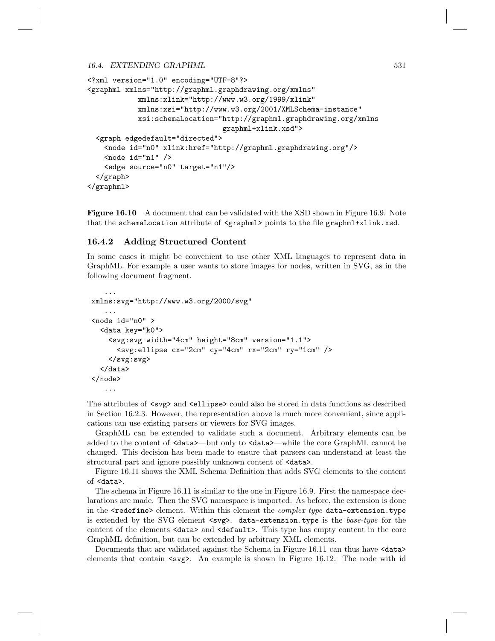```
16.4. EXTENDING GRAPHML 531
```

```
<?xml version="1.0" encoding="UTF-8"?>
<graphml xmlns="http://graphml.graphdrawing.org/xmlns"
            xmlns:xlink="http://www.w3.org/1999/xlink"
            xmlns:xsi="http://www.w3.org/2001/XMLSchema-instance"
            xsi:schemaLocation="http://graphml.graphdrawing.org/xmlns
                                 graphml+xlink.xsd">
  <graph edgedefault="directed">
    <node id="n0" xlink:href="http://graphml.graphdrawing.org"/>
    <sub>node</sub> id="n1" /</sub>
    <edge source="n0" target="n1"/>
  </graph>
</graphml>
```
Figure 16.10 A document that can be validated with the XSD shown in Figure 16.9. Note that the schemaLocation attribute of <graphml> points to the file graphml+xlink.xsd.

#### 16.4.2 Adding Structured Content

In some cases it might be convenient to use other XML languages to represent data in GraphML. For example a user wants to store images for nodes, written in SVG, as in the following document fragment.

```
...
xmlns:svg="http://www.w3.org/2000/svg"
   ...
<sub>node</sub> id="n0" ></sub>
  <data key="k0">
    <svg:svg width="4cm" height="8cm" version="1.1">
      <svg:ellipse cx="2cm" cy="4cm" rx="2cm" ry="1cm" />
    </svg:svg>
  </data>
</node>
   ...
```
The attributes of <svg> and <ellipse> could also be stored in data functions as described in Section 16.2.3. However, the representation above is much more convenient, since applications can use existing parsers or viewers for SVG images.

GraphML can be extended to validate such a document. Arbitrary elements can be added to the content of <data>—but only to <data>—while the core GraphML cannot be changed. This decision has been made to ensure that parsers can understand at least the structural part and ignore possibly unknown content of <data>.

Figure 16.11 shows the XML Schema Definition that adds SVG elements to the content of <data>.

The schema in Figure 16.11 is similar to the one in Figure 16.9. First the namespace declarations are made. Then the SVG namespace is imported. As before, the extension is done in the  $\zeta$  redefine beloment. Within this element the *complex type* data-extension.type is extended by the SVG element  $\langle s v g \rangle$ . data-extension.type is the *base-type* for the content of the elements <data> and <default>. This type has empty content in the core GraphML definition, but can be extended by arbitrary XML elements.

Documents that are validated against the Schema in Figure 16.11 can thus have  $\alpha$ elements that contain  $\langle s v g \rangle$ . An example is shown in Figure 16.12. The node with id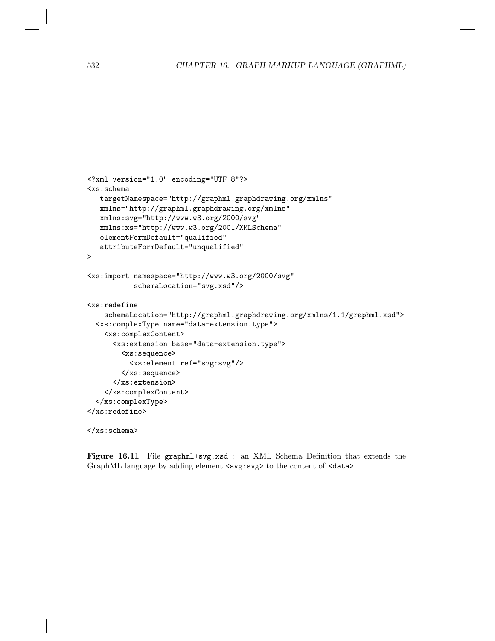```
<?xml version="1.0" encoding="UTF-8"?>
<xs:schema
  targetNamespace="http://graphml.graphdrawing.org/xmlns"
  xmlns="http://graphml.graphdrawing.org/xmlns"
  xmlns:svg="http://www.w3.org/2000/svg"
  xmlns:xs="http://www.w3.org/2001/XMLSchema"
  elementFormDefault="qualified"
  attributeFormDefault="unqualified"
>
<xs:import namespace="http://www.w3.org/2000/svg"
           schemaLocation="svg.xsd"/>
<xs:redefine
    schemaLocation="http://graphml.graphdrawing.org/xmlns/1.1/graphml.xsd">
  <xs:complexType name="data-extension.type">
    <xs:complexContent>
      <xs:extension base="data-extension.type">
        <xs:sequence>
          <xs:element ref="svg:svg"/>
        </xs:sequence>
      </xs:extension>
    </xs:complexContent>
  </xs:complexType>
</xs:redefine>
```

```
</xs:schema>
```
Figure 16.11 File graphml+svg.xsd : an XML Schema Definition that extends the GraphML language by adding element <svg:svg> to the content of <data>.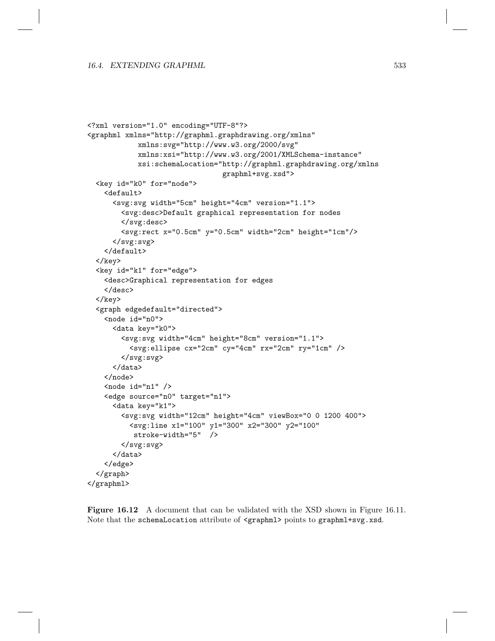```
<?xml version="1.0" encoding="UTF-8"?>
<graphml xmlns="http://graphml.graphdrawing.org/xmlns"
            xmlns:svg="http://www.w3.org/2000/svg"
            xmlns:xsi="http://www.w3.org/2001/XMLSchema-instance"
            xsi:schemaLocation="http://graphml.graphdrawing.org/xmlns
                                 graphml+svg.xsd">
  <key id="k0" for="node">
    <default>
      <svg:svg width="5cm" height="4cm" version="1.1">
        <svg:desc>Default graphical representation for nodes
        </svg:desc>
        <svg:rect x="0.5cm" y="0.5cm" width="2cm" height="1cm"/>
      </svg:svg>
    </default>
  </key>
  <key id="k1" for="edge">
    <desc>Graphical representation for edges
    </desc>
  </key>
  <graph edgedefault="directed">
    <node id="n0">
      <data key="k0">
        <svg:svg width="4cm" height="8cm" version="1.1">
          <svg:ellipse cx="2cm" cy="4cm" rx="2cm" ry="1cm" />
        </svg:svg>
      </data>
    </node>
    <sub>node</sub> id="n1" /></sub>
    <edge source="n0" target="n1">
      <data key="k1">
        <svg:svg width="12cm" height="4cm" viewBox="0 0 1200 400">
          <svg:line x1="100" y1="300" x2="300" y2="100"
           stroke-width="5" />
        </svg:svg>
      </data>
    </edge>
  </graph>
</graphml>
```
Figure 16.12 A document that can be validated with the XSD shown in Figure 16.11. Note that the schemaLocation attribute of <graphml> points to graphml+svg.xsd.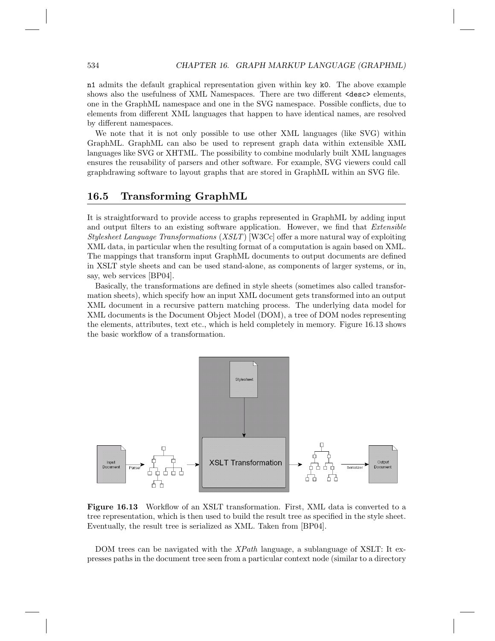n1 admits the default graphical representation given within key k0. The above example shows also the usefulness of XML Namespaces. There are two different <desc> elements, one in the GraphML namespace and one in the SVG namespace. Possible conflicts, due to elements from different XML languages that happen to have identical names, are resolved by different namespaces.

We note that it is not only possible to use other XML languages (like SVG) within GraphML. GraphML can also be used to represent graph data within extensible XML languages like SVG or XHTML. The possibility to combine modularly built XML languages ensures the reusability of parsers and other software. For example, SVG viewers could call graphdrawing software to layout graphs that are stored in GraphML within an SVG file.

#### 16.5 Transforming GraphML

It is straightforward to provide access to graphs represented in GraphML by adding input and output filters to an existing software application. However, we find that Extensible Stylesheet Language Transformations (XSLT) [W3Cc] offer a more natural way of exploiting XML data, in particular when the resulting format of a computation is again based on XML. The mappings that transform input GraphML documents to output documents are defined in XSLT style sheets and can be used stand-alone, as components of larger systems, or in, say, web services [BP04].

Basically, the transformations are defined in style sheets (sometimes also called transformation sheets), which specify how an input XML document gets transformed into an output XML document in a recursive pattern matching process. The underlying data model for XML documents is the Document Object Model (DOM), a tree of DOM nodes representing the elements, attributes, text etc., which is held completely in memory. Figure 16.13 shows the basic workflow of a transformation.



Figure 16.13 Workflow of an XSLT transformation. First, XML data is converted to a tree representation, which is then used to build the result tree as specified in the style sheet. Eventually, the result tree is serialized as XML. Taken from [BP04].

DOM trees can be navigated with the  $\overline{XPath}$  language, a sublanguage of XSLT: It expresses paths in the document tree seen from a particular context node (similar to a directory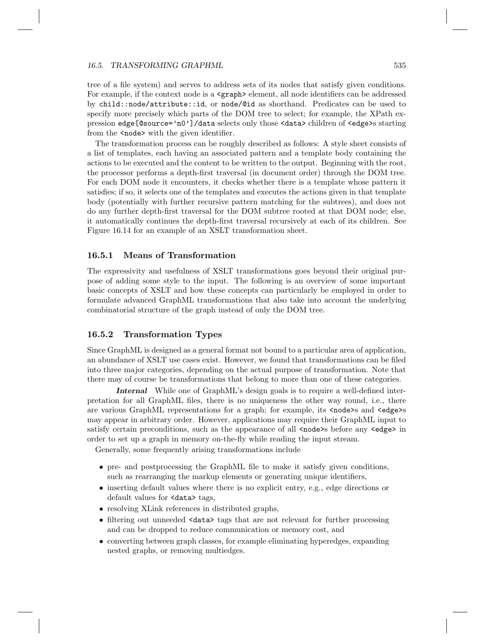#### 16.5. TRANSFORMING GRAPHML 535

tree of a file system) and serves to address sets of its nodes that satisfy given conditions. For example, if the context node is a  $\langle \text{graph} \rangle$  element, all node identifiers can be addressed by child::node/attribute::id, or node/@id as shorthand. Predicates can be used to specify more precisely which parts of the DOM tree to select; for example, the XPath expression edge[@source='n0']/data selects only those <data> children of <edge>s starting from the <node> with the given identifier.

The transformation process can be roughly described as follows: A style sheet consists of a list of templates, each having an associated pattern and a template body containing the actions to be executed and the content to be written to the output. Beginning with the root, the processor performs a depth-first traversal (in document order) through the DOM tree. For each DOM node it encounters, it checks whether there is a template whose pattern it satisfies; if so, it selects one of the templates and executes the actions given in that template body (potentially with further recursive pattern matching for the subtrees), and does not do any further depth-first traversal for the DOM subtree rooted at that DOM node; else, it automatically continues the depth-first traversal recursively at each of its children. See Figure 16.14 for an example of an XSLT transformation sheet.

#### 16.5.1 Means of Transformation

The expressivity and usefulness of XSLT transformations goes beyond their original purpose of adding some style to the input. The following is an overview of some important basic concepts of XSLT and how these concepts can particularly be employed in order to formulate advanced GraphML transformations that also take into account the underlying combinatorial structure of the graph instead of only the DOM tree.

#### 16.5.2 Transformation Types

Since GraphML is designed as a general format not bound to a particular area of application, an abundance of XSLT use cases exist. However, we found that transformations can be filed into three major categories, depending on the actual purpose of transformation. Note that there may of course be transformations that belong to more than one of these categories.

Internal While one of GraphML's design goals is to require a well-defined interpretation for all GraphML files, there is no uniqueness the other way round, i.e., there are various GraphML representations for a graph; for example, its  $\langle$ node>s and  $\langle$ edge>s may appear in arbitrary order. However, applications may require their GraphML input to satisfy certain preconditions, such as the appearance of all  $\leq$ node>s before any  $\leq$ edge> in order to set up a graph in memory on-the-fly while reading the input stream.

Generally, some frequently arising transformations include

- pre- and postprocessing the GraphML file to make it satisfy given conditions, such as rearranging the markup elements or generating unique identifiers,
- inserting default values where there is no explicit entry, e.g., edge directions or default values for <data> tags,
- resolving XLink references in distributed graphs,
- filtering out unneeded <data> tags that are not relevant for further processing and can be dropped to reduce communication or memory cost, and
- converting between graph classes, for example eliminating hyperedges, expanding nested graphs, or removing multiedges.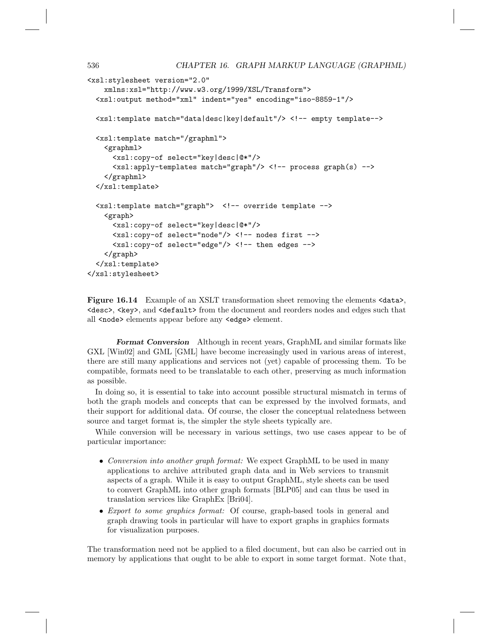```
<xsl:stylesheet version="2.0"
   xmlns:xsl="http://www.w3.org/1999/XSL/Transform">
  <xsl:output method="xml" indent="yes" encoding="iso-8859-1"/>
  <xsl:template match="data|desc|key|default"/> <!-- empty template-->
  <xsl:template match="/graphml">
   <graphml>
      <xsl:copy-of select="key|desc|@*"/>
      <xsl:apply-templates match="graph"/> <!-- process graph(s) -->
   </graphml>
  </xsl:template>
  <xsl:template match="graph"> <!-- override template -->
    <graph>
      <xsl:copy-of select="key|desc|@*"/>
      <xsl:copy-of select="node"/> <!-- nodes first -->
      <xsl:copy-of select="edge"/> <!-- then edges -->
   </graph>
  </xsl:template>
</xsl:stylesheet>
```
Figure 16.14 Example of an XSLT transformation sheet removing the elements <data>, <desc>, <key>, and <default> from the document and reorders nodes and edges such that all <node> elements appear before any <edge> element.

Format Conversion Although in recent years, GraphML and similar formats like GXL [Win02] and GML [GML] have become increasingly used in various areas of interest, there are still many applications and services not (yet) capable of processing them. To be compatible, formats need to be translatable to each other, preserving as much information as possible.

In doing so, it is essential to take into account possible structural mismatch in terms of both the graph models and concepts that can be expressed by the involved formats, and their support for additional data. Of course, the closer the conceptual relatedness between source and target format is, the simpler the style sheets typically are.

While conversion will be necessary in various settings, two use cases appear to be of particular importance:

- Conversion into another graph format: We expect GraphML to be used in many applications to archive attributed graph data and in Web services to transmit aspects of a graph. While it is easy to output GraphML, style sheets can be used to convert GraphML into other graph formats [BLP05] and can thus be used in translation services like GraphEx [Bri04].
- Export to some graphics format: Of course, graph-based tools in general and graph drawing tools in particular will have to export graphs in graphics formats for visualization purposes.

The transformation need not be applied to a filed document, but can also be carried out in memory by applications that ought to be able to export in some target format. Note that,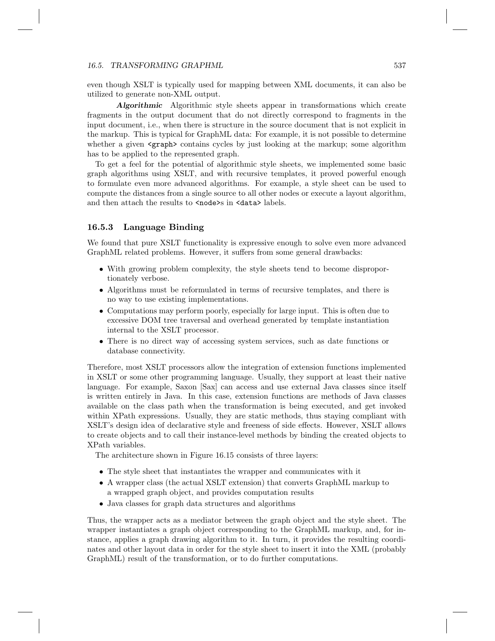#### 16.5. TRANSFORMING GRAPHML 537

even though XSLT is typically used for mapping between XML documents, it can also be utilized to generate non-XML output.

Algorithmic Algorithmic style sheets appear in transformations which create fragments in the output document that do not directly correspond to fragments in the input document, i.e., when there is structure in the source document that is not explicit in the markup. This is typical for GraphML data: For example, it is not possible to determine whether a given  $\langle \text{graph} \rangle$  contains cycles by just looking at the markup; some algorithm has to be applied to the represented graph.

To get a feel for the potential of algorithmic style sheets, we implemented some basic graph algorithms using XSLT, and with recursive templates, it proved powerful enough to formulate even more advanced algorithms. For example, a style sheet can be used to compute the distances from a single source to all other nodes or execute a layout algorithm, and then attach the results to  $<$ node>s in  $<$ data> labels.

#### 16.5.3 Language Binding

We found that pure XSLT functionality is expressive enough to solve even more advanced GraphML related problems. However, it suffers from some general drawbacks:

- With growing problem complexity, the style sheets tend to become disproportionately verbose.
- Algorithms must be reformulated in terms of recursive templates, and there is no way to use existing implementations.
- Computations may perform poorly, especially for large input. This is often due to excessive DOM tree traversal and overhead generated by template instantiation internal to the XSLT processor.
- There is no direct way of accessing system services, such as date functions or database connectivity.

Therefore, most XSLT processors allow the integration of extension functions implemented in XSLT or some other programming language. Usually, they support at least their native language. For example, Saxon [Sax] can access and use external Java classes since itself is written entirely in Java. In this case, extension functions are methods of Java classes available on the class path when the transformation is being executed, and get invoked within XPath expressions. Usually, they are static methods, thus staying compliant with XSLT's design idea of declarative style and freeness of side effects. However, XSLT allows to create objects and to call their instance-level methods by binding the created objects to XPath variables.

The architecture shown in Figure 16.15 consists of three layers:

- The style sheet that instantiates the wrapper and communicates with it
- A wrapper class (the actual XSLT extension) that converts GraphML markup to a wrapped graph object, and provides computation results
- Java classes for graph data structures and algorithms

Thus, the wrapper acts as a mediator between the graph object and the style sheet. The wrapper instantiates a graph object corresponding to the GraphML markup, and, for instance, applies a graph drawing algorithm to it. In turn, it provides the resulting coordinates and other layout data in order for the style sheet to insert it into the XML (probably GraphML) result of the transformation, or to do further computations.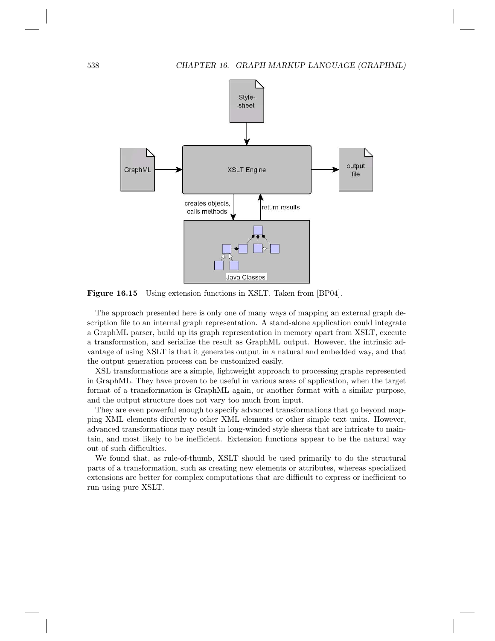

Figure 16.15 Using extension functions in XSLT. Taken from [BP04].

The approach presented here is only one of many ways of mapping an external graph description file to an internal graph representation. A stand-alone application could integrate a GraphML parser, build up its graph representation in memory apart from XSLT, execute a transformation, and serialize the result as GraphML output. However, the intrinsic advantage of using XSLT is that it generates output in a natural and embedded way, and that the output generation process can be customized easily.

XSL transformations are a simple, lightweight approach to processing graphs represented in GraphML. They have proven to be useful in various areas of application, when the target format of a transformation is GraphML again, or another format with a similar purpose, and the output structure does not vary too much from input.

They are even powerful enough to specify advanced transformations that go beyond mapping XML elements directly to other XML elements or other simple text units. However, advanced transformations may result in long-winded style sheets that are intricate to maintain, and most likely to be inefficient. Extension functions appear to be the natural way out of such difficulties.

We found that, as rule-of-thumb, XSLT should be used primarily to do the structural parts of a transformation, such as creating new elements or attributes, whereas specialized extensions are better for complex computations that are difficult to express or inefficient to run using pure XSLT.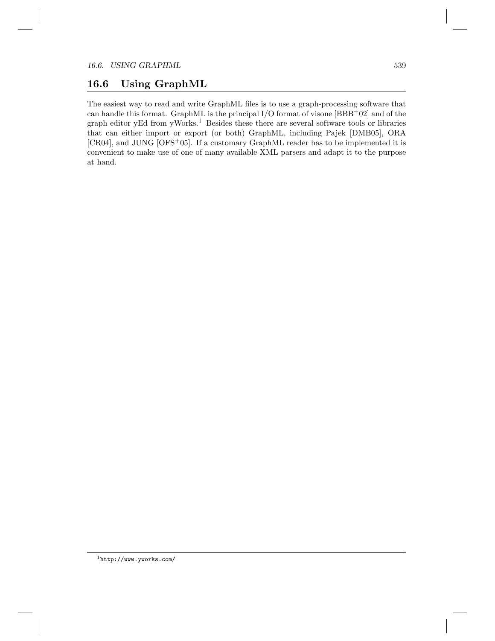### 16.6 Using GraphML

The easiest way to read and write GraphML files is to use a graph-processing software that can handle this format. GraphML is the principal  $I/O$  format of visone  $[BBB<sup>+</sup>02]$  and of the graph editor yEd from yWorks.<sup>1</sup> Besides these there are several software tools or libraries that can either import or export (or both) GraphML, including Pajek [DMB05], ORA [CR04], and JUNG [OFS+05]. If a customary GraphML reader has to be implemented it is convenient to make use of one of many available XML parsers and adapt it to the purpose at hand.

<sup>1</sup>http://www.yworks.com/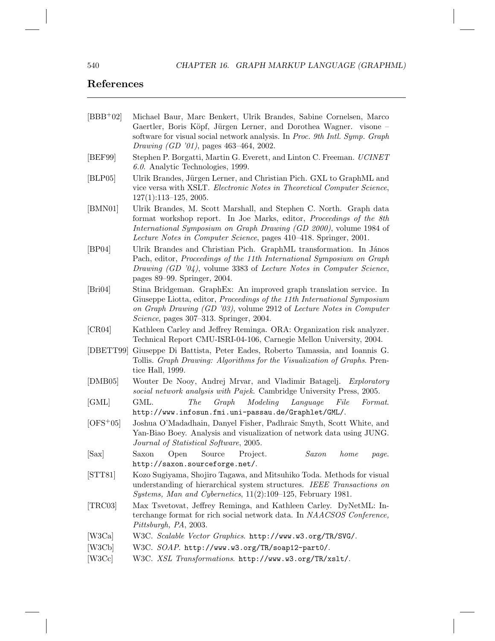## References

| $[BBB+02]$                  | Michael Baur, Marc Benkert, Ulrik Brandes, Sabine Cornelsen, Marco<br>Gaertler, Boris Köpf, Jürgen Lerner, and Dorothea Wagner. visone –<br>software for visual social network analysis. In Proc. 9th Intl. Symp. Graph<br>Drawing (GD '01), pages $463-464$ , 2002.                  |
|-----------------------------|---------------------------------------------------------------------------------------------------------------------------------------------------------------------------------------------------------------------------------------------------------------------------------------|
| [BEF99]                     | Stephen P. Borgatti, Martin G. Everett, and Linton C. Freeman. UCINET<br>$6.0.$ Analytic Technologies, 1999.                                                                                                                                                                          |
| BLP05                       | Ulrik Brandes, Jürgen Lerner, and Christian Pich. GXL to GraphML and<br>vice versa with XSLT. Electronic Notes in Theoretical Computer Science,<br>$127(1):113-125$ , 2005.                                                                                                           |
| [BMN01]                     | Ulrik Brandes, M. Scott Marshall, and Stephen C. North. Graph data<br>format workshop report. In Joe Marks, editor, Proceedings of the 8th<br>International Symposium on Graph Drawing (GD 2000), volume 1984 of<br>Lecture Notes in Computer Science, pages 410–418. Springer, 2001. |
| [BP04]                      | Ulrik Brandes and Christian Pich. GraphML transformation. In János<br>Pach, editor, Proceedings of the 11th International Symposium on Graph<br>Drawing $(GD'04)$ , volume 3383 of Lecture Notes in Computer Science,<br>pages 89–99. Springer, 2004.                                 |
| $\left[\text{Bri04}\right]$ | Stina Bridgeman. GraphEx: An improved graph translation service. In<br>Giuseppe Liotta, editor, Proceedings of the 11th International Symposium<br>on Graph Drawing (GD '03), volume 2912 of Lecture Notes in Computer<br>Science, pages 307-313. Springer, 2004.                     |
| [CR04]                      | Kathleen Carley and Jeffrey Reminga. ORA: Organization risk analyzer.<br>Technical Report CMU-ISRI-04-106, Carnegie Mellon University, 2004.                                                                                                                                          |
| [DBETT99]                   | Giuseppe Di Battista, Peter Eades, Roberto Tamassia, and Ioannis G.<br>Tollis. Graph Drawing: Algorithms for the Visualization of Graphs. Pren-<br>tice Hall, 1999.                                                                                                                   |
| [DMB05]                     | Wouter De Nooy, Andrej Mrvar, and Vladimir Batagelj. Exploratory<br>social network analysis with Pajek. Cambridge University Press, 2005.                                                                                                                                             |
| [GML]                       | Graph Modeling<br>GML.<br>The<br>Language<br>File<br>Format.<br>http://www.infosun.fmi.uni-passau.de/Graphlet/GML/.                                                                                                                                                                   |
| $[OFS+05]$                  | Joshua O'Madadhain, Danyel Fisher, Padhraic Smyth, Scott White, and<br>Yan-Biao Boey. Analysis and visualization of network data using JUNG.<br>Journal of Statistical Software, 2005.                                                                                                |
| [Sax]                       | Saxon<br>Saxon<br>Open<br>Source<br>home<br>Project.<br>page.<br>http://saxon.sourceforge.net/.                                                                                                                                                                                       |
| [STT81]                     | Kozo Sugiyama, Shojiro Tagawa, and Mitsuhiko Toda. Methods for visual<br>understanding of hierarchical system structures. IEEE Transactions on<br><i>Systems, Man and Cybernetics,</i> $11(2):109-125$ , February 1981.                                                               |
| [TRC03]                     | Max Tsvetovat, Jeffrey Reminga, and Kathleen Carley. DyNetML: In-<br>terchange format for rich social network data. In NAACSOS Conference,<br>Pittsburgh, PA, 2003.                                                                                                                   |
| [W3Ca]                      | W3C. Scalable Vector Graphics. http://www.w3.org/TR/SVG/.                                                                                                                                                                                                                             |
| [W3Cb]                      | W3C. SOAP. http://www.w3.org/TR/soap12-part0/.                                                                                                                                                                                                                                        |
| [W3Cc]                      | W3C. XSL Transformations. http://www.w3.org/TR/xslt/.                                                                                                                                                                                                                                 |